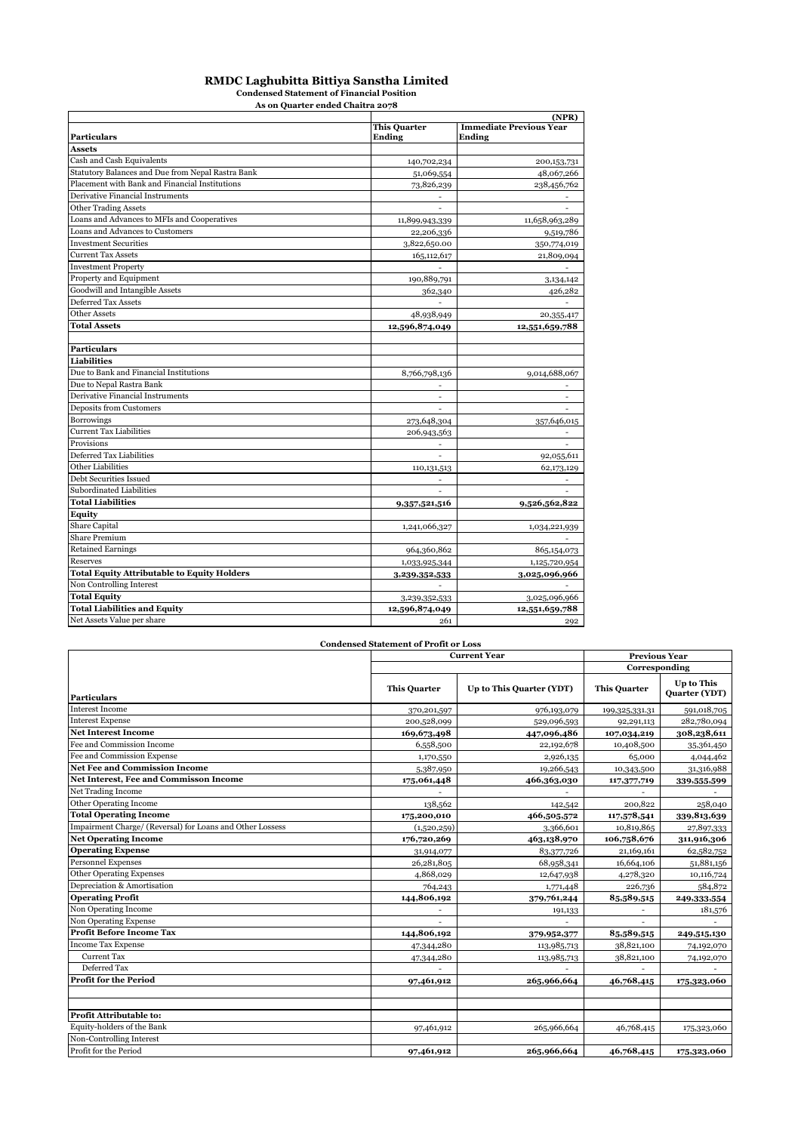#### **RMDC Laghubitta Bittiya Sanstha Limited**

**Condensed Statement of Financial Position**

| As on Quarter ended Chaitra 2078                   |                          |                                |  |  |  |  |
|----------------------------------------------------|--------------------------|--------------------------------|--|--|--|--|
|                                                    |                          |                                |  |  |  |  |
|                                                    | <b>This Quarter</b>      | <b>Immediate Previous Year</b> |  |  |  |  |
| <b>Particulars</b>                                 | <b>Ending</b>            | Ending                         |  |  |  |  |
| <b>Assets</b>                                      |                          |                                |  |  |  |  |
| Cash and Cash Equivalents                          | 140,702,234              | 200,153,731                    |  |  |  |  |
| Statutory Balances and Due from Nepal Rastra Bank  | 51,069,554               | 48,067,266                     |  |  |  |  |
| Placement with Bank and Financial Institutions     | 73,826,239               | 238,456,762                    |  |  |  |  |
| Derivative Financial Instruments                   | $\blacksquare$           |                                |  |  |  |  |
| <b>Other Trading Assets</b>                        |                          |                                |  |  |  |  |
| Loans and Advances to MFIs and Cooperatives        | 11,899,943,339           | 11,658,963,289                 |  |  |  |  |
| Loans and Advances to Customers                    | 22,206,336               | 9,519,786                      |  |  |  |  |
| <b>Investment Securities</b>                       | 3,822,650.00             | 350,774,019                    |  |  |  |  |
| <b>Current Tax Assets</b>                          | 165, 112, 617            | 21,809,094                     |  |  |  |  |
| <b>Investment Property</b>                         |                          |                                |  |  |  |  |
| Property and Equipment                             | 190,889,791              | 3,134,142                      |  |  |  |  |
| Goodwill and Intangible Assets                     | 362,340                  | 426,282                        |  |  |  |  |
| Deferred Tax Assets                                | ä,                       |                                |  |  |  |  |
| <b>Other Assets</b>                                | 48,938,949               | 20,355,417                     |  |  |  |  |
| <b>Total Assets</b>                                | 12,596,874,049           | 12,551,659,788                 |  |  |  |  |
|                                                    |                          |                                |  |  |  |  |
| <b>Particulars</b>                                 |                          |                                |  |  |  |  |
| <b>Liabilities</b>                                 |                          |                                |  |  |  |  |
| Due to Bank and Financial Institutions             | 8,766,798,136            | 9,014,688,067                  |  |  |  |  |
| Due to Nepal Rastra Bank                           | $\overline{\phantom{a}}$ |                                |  |  |  |  |
| Derivative Financial Instruments                   |                          |                                |  |  |  |  |
| Deposits from Customers                            |                          |                                |  |  |  |  |
| <b>Borrowings</b>                                  | 273,648,304              | 357,646,015                    |  |  |  |  |
| <b>Current Tax Liabilities</b>                     | 206,943,563              |                                |  |  |  |  |
| Provisions                                         |                          |                                |  |  |  |  |
| Deferred Tax Liabilities                           | $\overline{\phantom{a}}$ | 92,055,611                     |  |  |  |  |
| <b>Other Liabilities</b>                           | 110, 131, 513            | 62,173,129                     |  |  |  |  |
| Debt Securities Issued                             | ٠                        |                                |  |  |  |  |
| Subordinated Liabilities                           | ä,                       |                                |  |  |  |  |
| <b>Total Liabilities</b>                           | 9,357,521,516            | 9,526,562,822                  |  |  |  |  |
| <b>Equity</b>                                      |                          |                                |  |  |  |  |
| Share Capital                                      | 1,241,066,327            | 1,034,221,939                  |  |  |  |  |
| <b>Share Premium</b>                               |                          |                                |  |  |  |  |
| <b>Retained Earnings</b>                           | 964,360,862              | 865,154,073                    |  |  |  |  |
| Reserves                                           | 1,033,925,344            | 1,125,720,954                  |  |  |  |  |
| <b>Total Equity Attributable to Equity Holders</b> | 3,239,352,533            | 3,025,096,966                  |  |  |  |  |
| Non Controlling Interest                           |                          |                                |  |  |  |  |
| <b>Total Equity</b>                                | 3,239,352,533            | 3,025,096,966                  |  |  |  |  |
| <b>Total Liabilities and Equity</b>                | 12,596,874,049           | 12,551,659,788                 |  |  |  |  |
| Net Assets Value per share                         | 261                      | 292                            |  |  |  |  |
|                                                    |                          |                                |  |  |  |  |

|                                                           | <b>Condensed Statement of Profit or Loss</b> |                          |                     |                                    |  |
|-----------------------------------------------------------|----------------------------------------------|--------------------------|---------------------|------------------------------------|--|
|                                                           | <b>Current Year</b>                          | <b>Previous Year</b>     |                     |                                    |  |
|                                                           |                                              |                          | Corresponding       |                                    |  |
| <b>Particulars</b>                                        | <b>This Quarter</b>                          | Up to This Quarter (YDT) | <b>This Quarter</b> | Up to This<br><b>Quarter (YDT)</b> |  |
| <b>Interest Income</b>                                    | 370,201,597                                  | 976,193,079              | 199,325,331.31      | 591,018,705                        |  |
| <b>Interest Expense</b>                                   | 200,528,099                                  | 529,096,593              | 92,291,113          | 282,780,094                        |  |
| <b>Net Interest Income</b>                                | 169,673,498                                  | 447,096,486              | 107,034,219         | 308,238,611                        |  |
| Fee and Commission Income                                 | 6,558,500                                    | 22,192,678               | 10,408,500          | 35,361,450                         |  |
| Fee and Commission Expense                                | 1,170,550                                    | 2,926,135                | 65,000              | 4,044,462                          |  |
| <b>Net Fee and Commission Income</b>                      | 5,387,950                                    | 19,266,543               | 10,343,500          | 31,316,988                         |  |
| <b>Net Interest. Fee and Commisson Income</b>             | 175,061,448                                  | 466,363,030              | 117,377,719         | 339,555,599                        |  |
| Net Trading Income                                        |                                              |                          |                     |                                    |  |
| Other Operating Income                                    | 138,562                                      | 142,542                  | 200,822             | 258,040                            |  |
| <b>Total Operating Income</b>                             | 175,200,010                                  | 466,505,572              | 117,578,541         | 339,813,639                        |  |
| Impairment Charge/ (Reversal) for Loans and Other Lossess | (1,520,259)                                  | 3,366,601                | 10,819,865          | 27,897,333                         |  |
| <b>Net Operating Income</b>                               | 176,720,269                                  | 463,138,970              | 106,758,676         | 311,916,306                        |  |
| <b>Operating Expense</b>                                  | 31,914,077                                   | 83,377,726               | 21,169,161          | 62,582,752                         |  |
| Personnel Expenses                                        | 26,281,805                                   | 68,958,341               | 16,664,106          | 51,881,156                         |  |
| <b>Other Operating Expenses</b>                           | 4,868,029                                    | 12,647,938               | 4,278,320           | 10,116,724                         |  |
| Depreciation & Amortisation                               | 764,243                                      | 1,771,448                | 226,736             | 584,872                            |  |
| <b>Operating Profit</b>                                   | 144,806,192                                  | 379,761,244              | 85,589,515          | 249,333,554                        |  |
| Non Operating Income                                      |                                              | 191,133                  |                     | 181,576                            |  |
| Non Operating Expense                                     |                                              |                          |                     |                                    |  |
| <b>Profit Before Income Tax</b>                           | 144,806,192                                  | 379,952,377              | 85,589,515          | 249,515,130                        |  |
| <b>Income Tax Expense</b>                                 | 47,344,280                                   | 113,985,713              | 38,821,100          | 74,192,070                         |  |
| <b>Current Tax</b>                                        | 47,344,280                                   | 113,985,713              | 38,821,100          | 74,192,070                         |  |
| Deferred Tax                                              |                                              |                          |                     |                                    |  |
| <b>Profit for the Period</b>                              | 97,461,912                                   | 265,966,664              | 46,768,415          | 175,323,060                        |  |
| <b>Profit Attributable to:</b>                            |                                              |                          |                     |                                    |  |
| Equity-holders of the Bank                                |                                              |                          |                     |                                    |  |
| Non-Controlling Interest                                  | 97,461,912                                   | 265,966,664              | 46,768,415          | 175,323,060                        |  |
| Profit for the Period                                     | 97,461,912                                   | 265,966,664              | 46,768,415          | 175,323,060                        |  |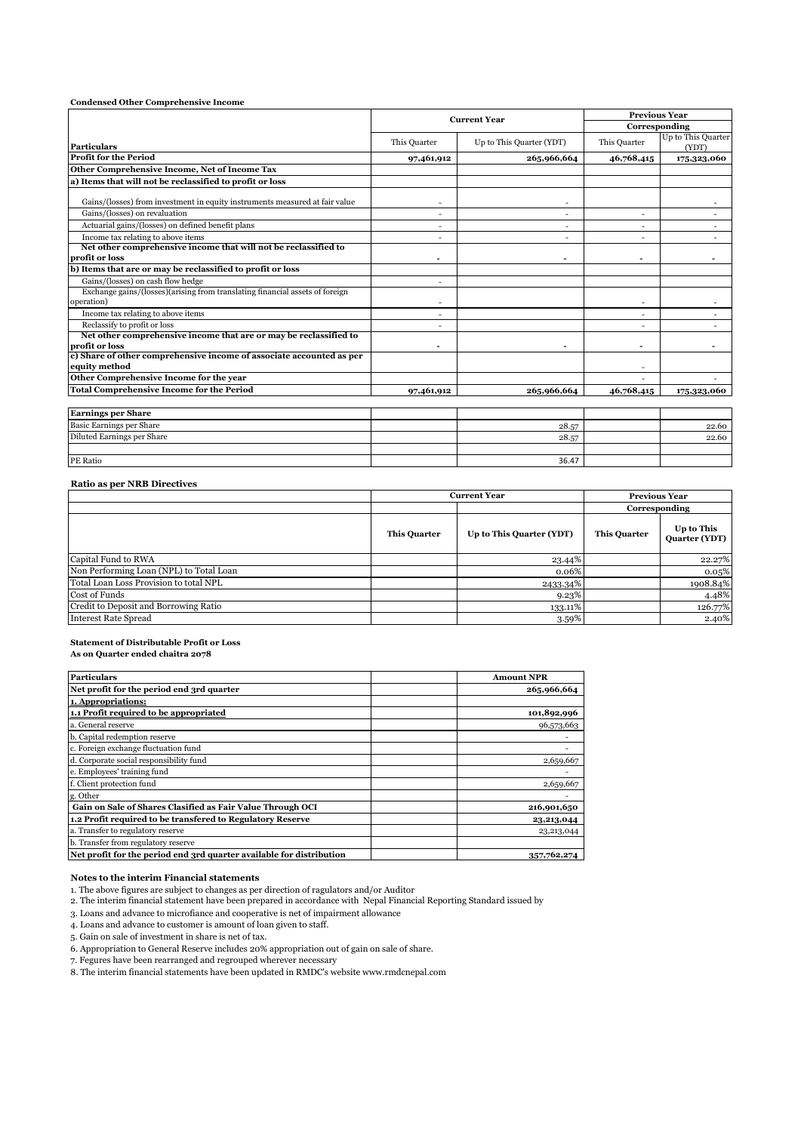| <b>Condensed Other Comprehensive Income</b>                                                |                          |                              |                                       |                             |  |
|--------------------------------------------------------------------------------------------|--------------------------|------------------------------|---------------------------------------|-----------------------------|--|
|                                                                                            |                          | <b>Current Year</b>          | <b>Previous Year</b><br>Corresponding |                             |  |
|                                                                                            |                          |                              |                                       |                             |  |
| <b>Particulars</b>                                                                         | This Quarter             | Up to This Quarter (YDT)     | This Quarter                          | Up to This Quarter<br>(YDT) |  |
| <b>Profit for the Period</b>                                                               | 97,461,912               | 265,966,664                  | 46,768,415                            | 175,323,060                 |  |
| Other Comprehensive Income, Net of Income Tax                                              |                          |                              |                                       |                             |  |
| a) Items that will not be reclassified to profit or loss                                   |                          |                              |                                       |                             |  |
| Gains/(losses) from investment in equity instruments measured at fair value                | ٠                        | ٠                            |                                       |                             |  |
| Gains/(losses) on revaluation                                                              | ÷.                       | $\sim$                       | $\sim$                                |                             |  |
| Actuarial gains/(losses) on defined benefit plans                                          | ۰                        | ٠                            |                                       |                             |  |
| Income tax relating to above items                                                         | ٠                        | ٠                            |                                       |                             |  |
| Net other comprehensive income that will not be reclassified to                            |                          |                              |                                       |                             |  |
| profit or loss                                                                             | $\overline{\phantom{a}}$ | $\qquad \qquad \blacksquare$ |                                       | -                           |  |
| b) Items that are or may be reclassified to profit or loss                                 |                          |                              |                                       |                             |  |
| Gains/(losses) on cash flow hedge                                                          | -                        |                              |                                       |                             |  |
| Exchange gains/(losses)(arising from translating financial assets of foreign<br>operation) | $\overline{\phantom{0}}$ |                              | $\sim$                                |                             |  |
| Income tax relating to above items                                                         | ۰                        |                              |                                       |                             |  |
| Reclassify to profit or loss                                                               | ۰                        |                              |                                       |                             |  |
| Net other comprehensive income that are or may be reclassified to<br>profit or loss        | $\overline{\phantom{a}}$ | $\overline{\phantom{0}}$     |                                       |                             |  |
| c) Share of other comprehensive income of associate accounted as per<br>equity method      |                          |                              |                                       |                             |  |
| Other Comprehensive Income for the year                                                    |                          |                              |                                       |                             |  |
| <b>Total Comprehensive Income for the Period</b>                                           | 97,461,912               | 265,966,664                  | 46,768,415                            | 175,323,060                 |  |
|                                                                                            |                          |                              |                                       |                             |  |
| <b>Earnings per Share</b>                                                                  |                          |                              |                                       |                             |  |
| Basic Earnings per Share                                                                   |                          | 28.57                        |                                       | 22.60                       |  |
| Diluted Earnings per Share                                                                 |                          | 28.57                        |                                       | 22.60                       |  |
| <b>PE Ratio</b>                                                                            |                          | 36.47                        |                                       |                             |  |

#### **Ratio as per NRB Directives**

|                                         |                     | <b>Current Year</b>      | <b>Previous Year</b> |                                    |
|-----------------------------------------|---------------------|--------------------------|----------------------|------------------------------------|
|                                         |                     | Corresponding            |                      |                                    |
|                                         | <b>This Quarter</b> | Up to This Quarter (YDT) | <b>This Quarter</b>  | Up to This<br><b>Quarter (YDT)</b> |
| Capital Fund to RWA                     |                     | 23.44%                   |                      | 22.27%                             |
| Non Performing Loan (NPL) to Total Loan |                     | $0.06\%$                 |                      | 0.05%                              |
| Total Loan Loss Provision to total NPL  |                     | 2433.34%                 |                      | 1908.84%                           |
| Cost of Funds                           |                     | 9.23%                    |                      | 4.48%                              |
| Credit to Deposit and Borrowing Ratio   |                     | 133.11%                  |                      | 126.77%                            |
| <b>Interest Rate Spread</b>             |                     | 3.59%                    |                      | 2.40%                              |

#### **Statement of Distributable Profit or Loss**

**As on Quarter ended chaitra 2078**

| <b>Particulars</b>                                                   | <b>Amount NPR</b> |
|----------------------------------------------------------------------|-------------------|
| Net profit for the period end 3rd quarter                            | 265,966,664       |
| 1. Appropriations:                                                   |                   |
| 1.1 Profit required to be appropriated                               | 101,892,996       |
| a. General reserve                                                   | 96,573,663        |
| b. Capital redemption reserve                                        |                   |
| c. Foreign exchange fluctuation fund                                 |                   |
| d. Corporate social responsibility fund                              | 2,659,667         |
| e. Employees' training fund                                          |                   |
| f. Client protection fund                                            | 2,659,667         |
| g. Other                                                             |                   |
| Gain on Sale of Shares Clasified as Fair Value Through OCI           | 216,901,650       |
| 1.2 Profit required to be transfered to Regulatory Reserve           | 23,213,044        |
| a. Transfer to regulatory reserve                                    | 23,213,044        |
| b. Transfer from regulatory reserve                                  |                   |
| Net profit for the period end 3rd quarter available for distribution | 357,762,274       |

#### **Notes to the interim Financial statements**

1. The above figures are subject to changes as per direction of ragulators and/or Auditor

2. The interim financial statement have been prepared in accordance with Nepal Financial Reporting Standard issued by

3. Loans and advance to microfiance and cooperative is net of impairment allowance

4. Loans and advance to customer is amount of loan given to staff.

5. Gain on sale of investment in share is net of tax.

6. Appropriation to General Reserve includes 20% appropriation out of gain on sale of share.

7. Fegures have been rearranged and regrouped wherever necessary

8. The interim financial statements have been updated in RMDC's website www.rmdcnepal.com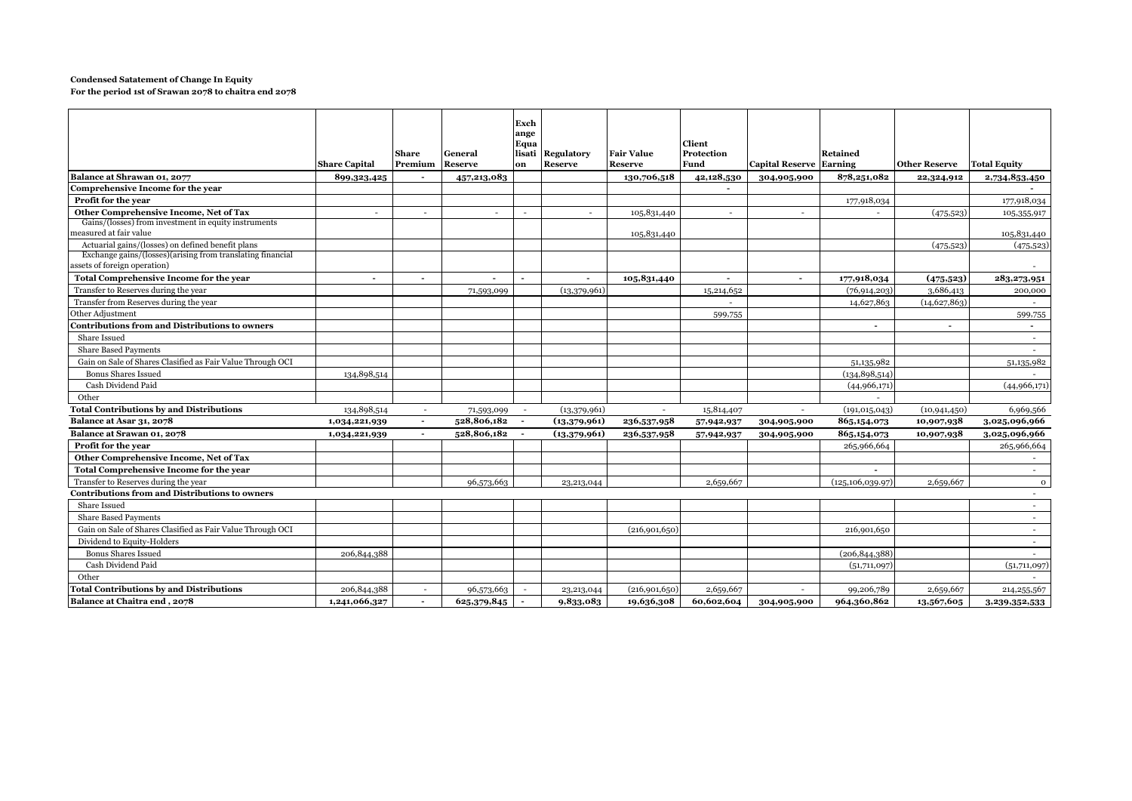#### **Condensed Satatement of Change In Equity**

**For the period 1st of Srawan 2078 to chaitra end 2078**

|                                                                                            | <b>Share Capital</b>     | Share<br>Premium         | General<br><b>Reserve</b> | Exch<br>ange<br>Equa<br>lisati<br>on | <b>Regulatory</b><br><b>Reserve</b> | <b>Fair Value</b><br><b>Reserve</b> | Client<br>Protection<br>Fund | <b>Capital Reserve Earning</b> | <b>Retained</b>    | <b>Other Reserve</b> | <b>Total Equity</b> |
|--------------------------------------------------------------------------------------------|--------------------------|--------------------------|---------------------------|--------------------------------------|-------------------------------------|-------------------------------------|------------------------------|--------------------------------|--------------------|----------------------|---------------------|
| Balance at Shrawan 01, 2077                                                                | 899,323,425              |                          | 457,213,083               |                                      |                                     | 130,706,518                         | 42,128,530                   | 304,905,900                    | 878,251,082        | 22,324,912           | 2,734,853,450       |
| Comprehensive Income for the year                                                          |                          |                          |                           |                                      |                                     |                                     | $\overline{\phantom{a}}$     |                                |                    |                      |                     |
| Profit for the year                                                                        |                          |                          |                           |                                      |                                     |                                     |                              |                                | 177,918,034        |                      | 177,918,034         |
| Other Comprehensive Income, Net of Tax                                                     |                          | $\sim$                   |                           | $\overline{a}$                       | ٠                                   | 105,831,440                         | $\sim$                       |                                | $\sim$             | (475, 523)           | 105,355,917         |
| Gains/(losses) from investment in equity instruments<br>measured at fair value             |                          |                          |                           |                                      |                                     | 105,831,440                         |                              |                                |                    |                      | 105,831,440         |
| Actuarial gains/(losses) on defined benefit plans                                          |                          |                          |                           |                                      |                                     |                                     |                              |                                |                    | (475, 523)           | (475, 523)          |
| Exchange gains/(losses)(arising from translating financial<br>assets of foreign operation) |                          |                          |                           |                                      |                                     |                                     |                              |                                |                    |                      |                     |
| <b>Total Comprehensive Income for the year</b>                                             | $\overline{\phantom{a}}$ | $\overline{\phantom{a}}$ |                           |                                      |                                     | 105,831,440                         | $\blacksquare$               | $\overline{\phantom{a}}$       | 177,918,034        | (475, 523)           | 283, 273, 951       |
| Transfer to Reserves during the year                                                       |                          |                          | 71,593,099                |                                      | (13,379,961)                        |                                     | 15,214,652                   |                                | (76, 914, 203)     | 3,686,413            | 200,000             |
| Transfer from Reserves during the year                                                     |                          |                          |                           |                                      |                                     |                                     |                              |                                | 14,627,863         | (14, 627, 863)       |                     |
| Other Adjustment                                                                           |                          |                          |                           |                                      |                                     |                                     | 599,755                      |                                |                    |                      | 599,755             |
| <b>Contributions from and Distributions to owners</b>                                      |                          |                          |                           |                                      |                                     |                                     |                              |                                |                    | $\overline{a}$       | $\sim$              |
| Share Issued                                                                               |                          |                          |                           |                                      |                                     |                                     |                              |                                |                    |                      | $\sim$              |
| <b>Share Based Payments</b>                                                                |                          |                          |                           |                                      |                                     |                                     |                              |                                |                    |                      | $\sim$              |
| Gain on Sale of Shares Clasified as Fair Value Through OCI                                 |                          |                          |                           |                                      |                                     |                                     |                              |                                | 51,135,982         |                      | 51,135,982          |
| <b>Bonus Shares Issued</b>                                                                 | 134,898,514              |                          |                           |                                      |                                     |                                     |                              |                                | (134, 898, 514)    |                      |                     |
| Cash Dividend Paid                                                                         |                          |                          |                           |                                      |                                     |                                     |                              |                                | (44,966,171)       |                      | (44,966,171)        |
| Other                                                                                      |                          |                          |                           |                                      |                                     |                                     |                              |                                | $\sim$             |                      |                     |
| <b>Total Contributions by and Distributions</b>                                            | 134,898,514              | $\sim$                   | 71,593,099                |                                      | (13,379,961)                        | $\sim$                              | 15,814,407                   | $\sim$                         | (191, 015, 043)    | (10, 941, 450)       | 6,969,566           |
| Balance at Asar 31, 2078                                                                   | 1,034,221,939            | $\overline{a}$           | 528,806,182               |                                      | (13,379,961)                        | 236,537,958                         | 57,942,937                   | 304,905,900                    | 865,154,073        | 10,907,938           | 3,025,096,966       |
| Balance at Srawan 01, 2078                                                                 | 1,034,221,939            | $\sim$                   | 528,806,182               |                                      | (13,379,961)                        | 236,537,958                         | 57,942,937                   | 304,905,900                    | 865,154,073        | 10,907,938           | 3,025,096,966       |
| Profit for the year                                                                        |                          |                          |                           |                                      |                                     |                                     |                              |                                | 265,966,664        |                      | 265,966,664         |
| Other Comprehensive Income, Net of Tax                                                     |                          |                          |                           |                                      |                                     |                                     |                              |                                |                    |                      | $\sim$              |
| Total Comprehensive Income for the year                                                    |                          |                          |                           |                                      |                                     |                                     |                              |                                |                    |                      |                     |
| Transfer to Reserves during the year                                                       |                          |                          | 96,573,663                |                                      | 23,213,044                          |                                     | 2,659,667                    |                                | (125, 106, 039.97) | 2,659,667            | $\mathbf 0$         |
| <b>Contributions from and Distributions to owners</b>                                      |                          |                          |                           |                                      |                                     |                                     |                              |                                |                    |                      | $\sim$              |
| Share Issued                                                                               |                          |                          |                           |                                      |                                     |                                     |                              |                                |                    |                      | $\sim$              |
| <b>Share Based Payments</b>                                                                |                          |                          |                           |                                      |                                     |                                     |                              |                                |                    |                      | $\sim$              |
| Gain on Sale of Shares Clasified as Fair Value Through OCI                                 |                          |                          |                           |                                      |                                     | (216,901,650)                       |                              |                                | 216,901,650        |                      | $\sim$              |
| Dividend to Equity-Holders                                                                 |                          |                          |                           |                                      |                                     |                                     |                              |                                |                    |                      | $\sim$              |
| <b>Bonus Shares Issued</b>                                                                 | 206,844,388              |                          |                           |                                      |                                     |                                     |                              |                                | (206, 844, 388)    |                      | $\sim$              |
| Cash Dividend Paid                                                                         |                          |                          |                           |                                      |                                     |                                     |                              |                                | (51,711,097)       |                      | (51,711,097)        |
| Other                                                                                      |                          |                          |                           |                                      |                                     |                                     |                              |                                |                    |                      |                     |
| <b>Total Contributions by and Distributions</b>                                            | 206,844,388              |                          | 96,573,663                |                                      | 23, 213, 044                        | (216,901,650)                       | 2,659,667                    |                                | 99,206,789         | 2,659,667            | 214, 255, 567       |
| Balance at Chaitra end, 2078                                                               | 1,241,066,327            |                          | 625,379,845               |                                      | 9,833,083                           | 19,636,308                          | 60,602,604                   | 304,905,900                    | 964,360,862        | 13,567,605           | 3,239,352,533       |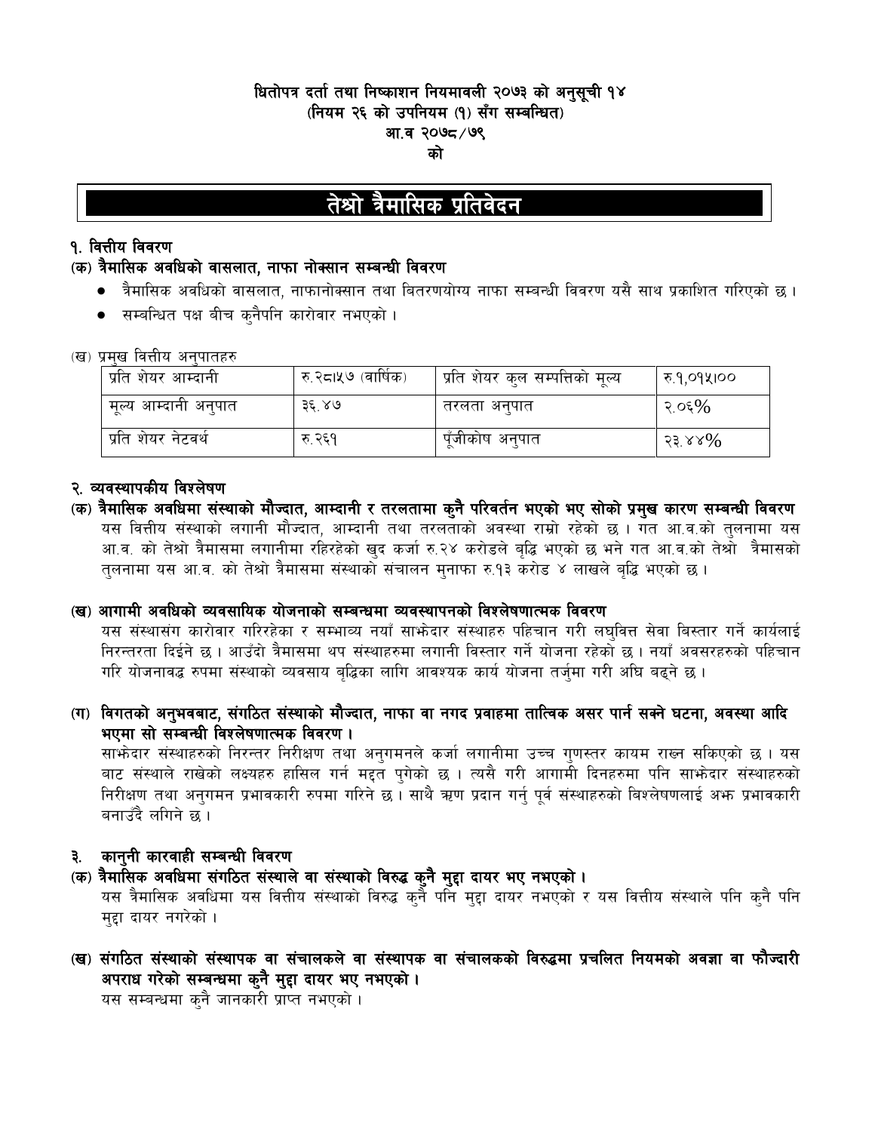## धितोपत्र दर्ता तथा निष्काशन नियमावली २०७३ को अनुसूची १४ (नियम २६ को उपनियम (१) सँग सम्बन्धित) आ.व २०७८ ⁄ ७९ को

# तेश्रो त्रैमासिक प्रतिवेदन

## **१. वित्तीय विवरण**

## (क) त्रैमासिक अवधिको वासलात, नाफा नोक्सान सम्बन्धी विवरण

- त्रैमासिक अवधिको वासलात, नाफानोक्सान तथा बितरणयोग्य नाफा सम्बन्धी विवरण यसै साथ प्रकाशित गरिएको छ ।
- सम्बन्धित पक्ष बीच क्नैपनि कारोवार नभएको ।

### (ख) प्रमख वित्तीय अनपातहरु

| प्रति शेयर आम्दानी   | ' रु.२८।५७ (वार्षिक) | , प्रति शेयर कुल सम्पत्तिको मूल्य | ह़ि १,०१५।०० |
|----------------------|----------------------|-----------------------------------|--------------|
| मूल्य आम्दानी अनुपात | ३६ ४७                | तरलता अनुपात                      | २.०६ $\%$    |
| प्रति शेयर नेटवर्थ   | रु २६१               | पूँजीकोष अनुपात                   | २३.४४%       |

## २. व्यवस्थापकीय विश्लेषण

(क) त्रैमासिक अवधिमा संस्थाको मौज्दात, आम्दानी र तरलतामा कुनै परिवर्तन भएको भए सोको प्रमुख कारण सम्बन्धी विवरण यस वित्तीय संस्थाको लगानी मौज्दात, आम्दानी तथा तरलताको अवस्था राम्रो रहेको छ । गत आ.व.को तुलनामा यस आ.व. को तेश्रो त्रैमासमा लगानीमा रहिरहेको खुद कर्जा रु.२४ करोडले बुद्धि भएको छ भने गत आ.व.को तेश्रो त्रैमासको तुलनामा यस आ.व. को तेश्रो त्रैमासमा संस्थाको संचालन मुनाफा रु.१३ करोड ४ लाखले बुद्धि भएको छ ।

### (ख) आगामी अवधिको व्यवसायिक योजनाको सम्बन्धमा व्यवस्थापनको विश्लेषणात्मक विवरण

यस संस्थासंग कारोवार गरिरहेका र सम्भाव्य नयाँ साभ्रेदार संस्थाहरु पहिचान गरी लघवित्त सेवा बिस्तार गर्ने कार्यलाई निरन्तरता दिईने छ । आउँदो त्रैमासमा थप संस्थाहरुमा लगानी विस्तार गर्ने योजना रहेको छ । नयाँ अवसरहरुको पहिचान गरि योजनावद्ध रुपमा संस्थाको व्यवसाय बद्धिका लागि आवश्यक कार्य योजना तर्जुमा गरी अघि बढुने छ ।

(ग) विगतको अनुभवबाट, संगठित संस्थाको मौज्दात, नाफा वा नगद प्रवाहमा तात्विक असर पार्न सक्ने घटना, अवस्था आदि भएमा सो सम्बन्धी विश्लेषणात्मक विवरण ।

साभ्रेदार संस्थाहरुको निरन्तर निरीक्षण तथा अनुगमनले कर्जा लगानीमा उच्च गुणस्तर कायम राख्न सकिएको छ । यस बाट संस्थाले राखेको लक्ष्यहरु हासिल गर्न मद्दत पुगेको छ । त्यसै गरी आगामी दिनहरुमा पनि साफोदार संस्थाहरुको निरीक्षण तथा अनुगमन प्रभावकारी रुपमा गरिने छ। साथै ऋण प्रदान गर्नु पुर्व संस्थाहरुको बिश्लेषणलाई अफ्न प्रभावकारी बनाउँदै लगिने छ ।

## ३. कानुनी कारवाही सम्बन्धी विवरण

## (क) त्रैमासिक अवधिमा संगठित संस्थाले वा संस्थाको विरुद्ध कुनै मुद्दा दायर भए नभएको ।

यस त्रैमासिक अवधिमा यस वित्तीय संस्थाको विरुद्ध कुनै पनि मद्दा दायर नभएको र यस वित्तीय संस्थाले पनि कुनै पनि महा दायर नगरेको ।

(ख) संगठित संस्थाको संस्थापक वा संचालकले वा संस्थापक वा संचालकको विरुद्धमा प्रचलित नियमको अवज्ञा वा फौज्दारी अपराध गरेको सम्बन्धमा कुनै मुद्दा दायर भए नभएको ।

यस सम्बन्धमा क्नै जानकारी प्राप्त नभएको ।